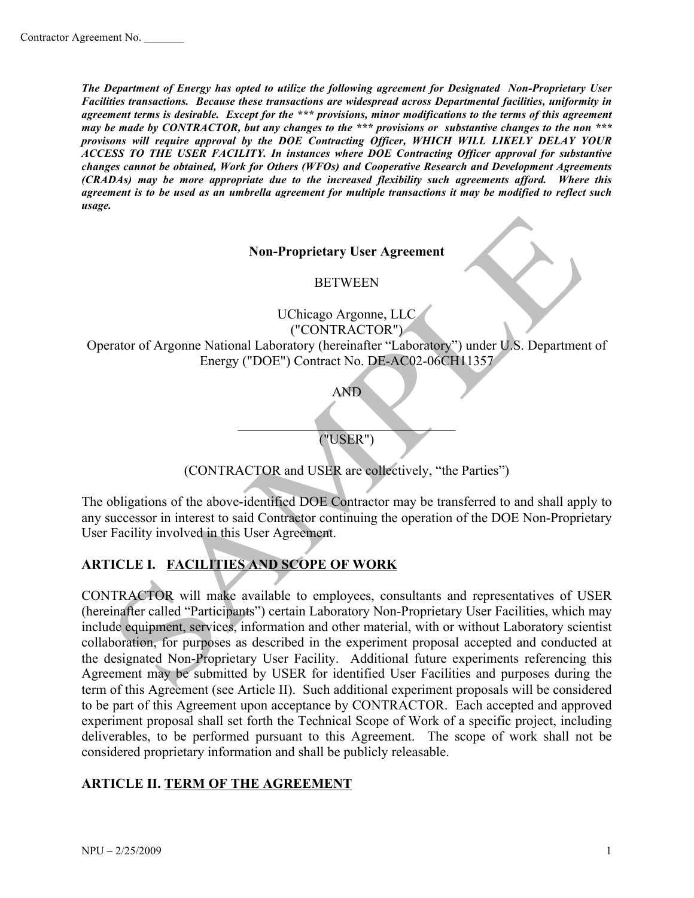*The Department of Energy has opted to utilize the following agreement for Designated Non-Proprietary User Facilities transactions. Because these transactions are widespread across Departmental facilities, uniformity in agreement terms is desirable. Except for the \*\*\* provisions, minor modifications to the terms of this agreement may be made by CONTRACTOR, but any changes to the \*\*\* provisions or substantive changes to the non \*\*\* provisons will require approval by the DOE Contracting Officer, WHICH WILL LIKELY DELAY YOUR ACCESS TO THE USER FACILITY. In instances where DOE Contracting Officer approval for substantive changes cannot be obtained, Work for Others (WFOs) and Cooperative Research and Development Agreements (CRADAs) may be more appropriate due to the increased flexibility such agreements afford. Where this agreement is to be used as an umbrella agreement for multiple transactions it may be modified to reflect such usage.*

#### **Non-Proprietary User Agreement**

BETWEEN

UChicago Argonne, LLC ("CONTRACTOR") Operator of Argonne National Laboratory (hereinafter "Laboratory") under U.S. Department of Energy ("DOE") Contract No. DE-AC02-06CH11357

AND

 $\Box$ ("USER")

(CONTRACTOR and USER are collectively, "the Parties")

The obligations of the above-identified DOE Contractor may be transferred to and shall apply to any successor in interest to said Contractor continuing the operation of the DOE Non-Proprietary User Facility involved in this User Agreement.

# **ARTICLE I. FACILITIES AND SCOPE OF WORK**

CONTRACTOR will make available to employees, consultants and representatives of USER (hereinafter called "Participants") certain Laboratory Non-Proprietary User Facilities, which may include equipment, services, information and other material, with or without Laboratory scientist collaboration, for purposes as described in the experiment proposal accepted and conducted at the designated Non-Proprietary User Facility. Additional future experiments referencing this Agreement may be submitted by USER for identified User Facilities and purposes during the term of this Agreement (see Article II). Such additional experiment proposals will be considered to be part of this Agreement upon acceptance by CONTRACTOR. Each accepted and approved experiment proposal shall set forth the Technical Scope of Work of a specific project, including deliverables, to be performed pursuant to this Agreement. The scope of work shall not be considered proprietary information and shall be publicly releasable.

#### **ARTICLE II. TERM OF THE AGREEMENT**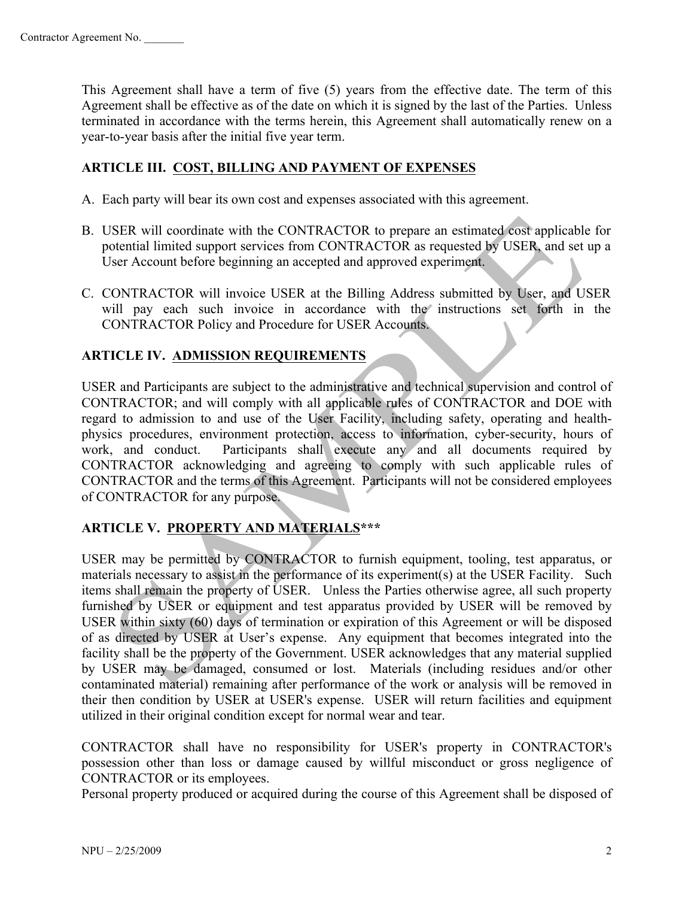This Agreement shall have a term of five (5) years from the effective date. The term of this Agreement shall be effective as of the date on which it is signed by the last of the Parties. Unless terminated in accordance with the terms herein, this Agreement shall automatically renew on a year-to-year basis after the initial five year term.

# **ARTICLE III. COST, BILLING AND PAYMENT OF EXPENSES**

- A. Each party will bear its own cost and expenses associated with this agreement.
- B. USER will coordinate with the CONTRACTOR to prepare an estimated cost applicable for potential limited support services from CONTRACTOR as requested by USER, and set up a User Account before beginning an accepted and approved experiment.
- C. CONTRACTOR will invoice USER at the Billing Address submitted by User, and USER will pay each such invoice in accordance with the instructions set forth in the CONTRACTOR Policy and Procedure for USER Accounts.

## **ARTICLE IV. ADMISSION REQUIREMENTS**

USER and Participants are subject to the administrative and technical supervision and control of CONTRACTOR; and will comply with all applicable rules of CONTRACTOR and DOE with regard to admission to and use of the User Facility, including safety, operating and healthphysics procedures, environment protection, access to information, cyber-security, hours of work, and conduct. Participants shall execute any and all documents required by CONTRACTOR acknowledging and agreeing to comply with such applicable rules of CONTRACTOR and the terms of this Agreement. Participants will not be considered employees of CONTRACTOR for any purpose.

# **ARTICLE V. PROPERTY AND MATERIALS\*\*\***

USER may be permitted by CONTRACTOR to furnish equipment, tooling, test apparatus, or materials necessary to assist in the performance of its experiment(s) at the USER Facility. Such items shall remain the property of USER. Unless the Parties otherwise agree, all such property furnished by USER or equipment and test apparatus provided by USER will be removed by USER within sixty (60) days of termination or expiration of this Agreement or will be disposed of as directed by USER at User's expense. Any equipment that becomes integrated into the facility shall be the property of the Government. USER acknowledges that any material supplied by USER may be damaged, consumed or lost. Materials (including residues and/or other contaminated material) remaining after performance of the work or analysis will be removed in their then condition by USER at USER's expense. USER will return facilities and equipment utilized in their original condition except for normal wear and tear.

CONTRACTOR shall have no responsibility for USER's property in CONTRACTOR's possession other than loss or damage caused by willful misconduct or gross negligence of CONTRACTOR or its employees.

Personal property produced or acquired during the course of this Agreement shall be disposed of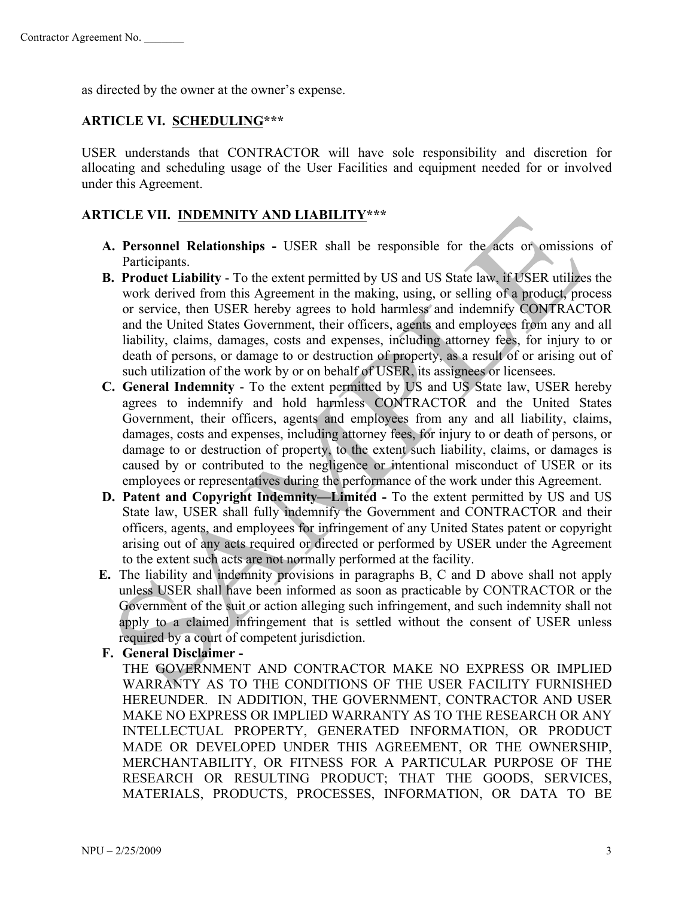as directed by the owner at the owner's expense.

# **ARTICLE VI. SCHEDULING\*\*\***

USER understands that CONTRACTOR will have sole responsibility and discretion for allocating and scheduling usage of the User Facilities and equipment needed for or involved under this Agreement.

# **ARTICLE VII. INDEMNITY AND LIABILITY\*\*\***

- **A. Personnel Relationships -** USER shall be responsible for the acts or omissions of Participants.
- **B. Product Liability** To the extent permitted by US and US State law, if USER utilizes the work derived from this Agreement in the making, using, or selling of a product, process or service, then USER hereby agrees to hold harmless and indemnify CONTRACTOR and the United States Government, their officers, agents and employees from any and all liability, claims, damages, costs and expenses, including attorney fees, for injury to or death of persons, or damage to or destruction of property, as a result of or arising out of such utilization of the work by or on behalf of USER, its assignees or licensees.
- **C. General Indemnity**  To the extent permitted by US and US State law, USER hereby agrees to indemnify and hold harmless CONTRACTOR and the United States Government, their officers, agents and employees from any and all liability, claims, damages, costs and expenses, including attorney fees, for injury to or death of persons, or damage to or destruction of property, to the extent such liability, claims, or damages is caused by or contributed to the negligence or intentional misconduct of USER or its employees or representatives during the performance of the work under this Agreement.
- **D. Patent and Copyright Indemnity—Limited -** To the extent permitted by US and US State law, USER shall fully indemnify the Government and CONTRACTOR and their officers, agents, and employees for infringement of any United States patent or copyright arising out of any acts required or directed or performed by USER under the Agreement to the extent such acts are not normally performed at the facility.
- **E.** The liability and indemnity provisions in paragraphs B, C and D above shall not apply unless USER shall have been informed as soon as practicable by CONTRACTOR or the Government of the suit or action alleging such infringement, and such indemnity shall not apply to a claimed infringement that is settled without the consent of USER unless required by a court of competent jurisdiction.
- **F. General Disclaimer**

THE GOVERNMENT AND CONTRACTOR MAKE NO EXPRESS OR IMPLIED WARRANTY AS TO THE CONDITIONS OF THE USER FACILITY FURNISHED HEREUNDER. IN ADDITION, THE GOVERNMENT, CONTRACTOR AND USER MAKE NO EXPRESS OR IMPLIED WARRANTY AS TO THE RESEARCH OR ANY INTELLECTUAL PROPERTY, GENERATED INFORMATION, OR PRODUCT MADE OR DEVELOPED UNDER THIS AGREEMENT, OR THE OWNERSHIP, MERCHANTABILITY, OR FITNESS FOR A PARTICULAR PURPOSE OF THE RESEARCH OR RESULTING PRODUCT; THAT THE GOODS, SERVICES, MATERIALS, PRODUCTS, PROCESSES, INFORMATION, OR DATA TO BE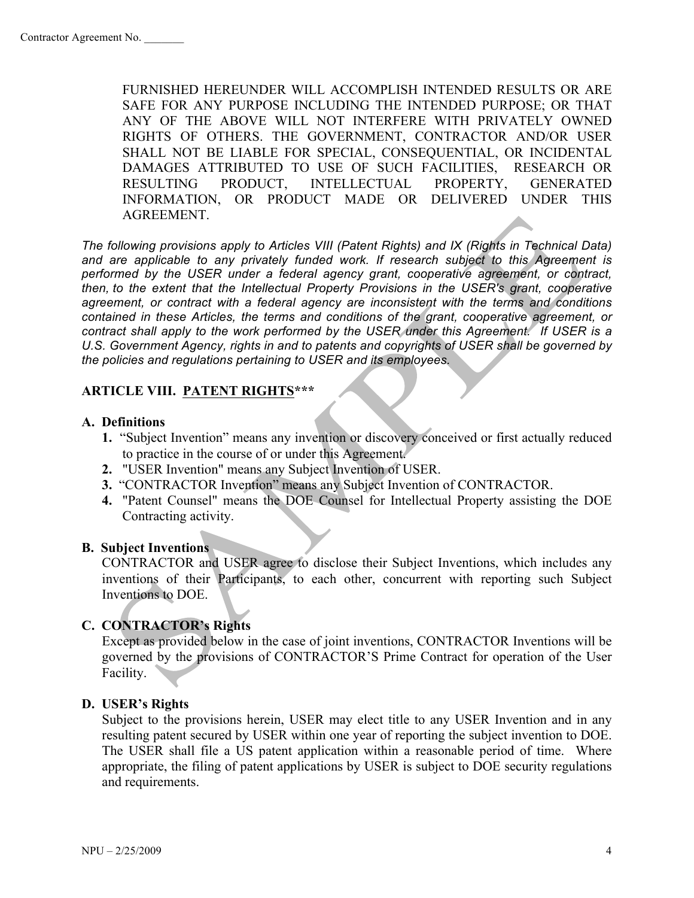FURNISHED HEREUNDER WILL ACCOMPLISH INTENDED RESULTS OR ARE SAFE FOR ANY PURPOSE INCLUDING THE INTENDED PURPOSE; OR THAT ANY OF THE ABOVE WILL NOT INTERFERE WITH PRIVATELY OWNED RIGHTS OF OTHERS. THE GOVERNMENT, CONTRACTOR AND/OR USER SHALL NOT BE LIABLE FOR SPECIAL, CONSEQUENTIAL, OR INCIDENTAL DAMAGES ATTRIBUTED TO USE OF SUCH FACILITIES, RESEARCH OR RESULTING PRODUCT, INTELLECTUAL PROPERTY, GENERATED INFORMATION, OR PRODUCT MADE OR DELIVERED UNDER THIS AGREEMENT.

*The following provisions apply to Articles VIII (Patent Rights) and IX (Rights in Technical Data) and are applicable to any privately funded work. If research subject to this Agreement is performed by the USER under a federal agency grant, cooperative agreement, or contract, then, to the extent that the Intellectual Property Provisions in the USER's grant, cooperative agreement, or contract with a federal agency are inconsistent with the terms and conditions contained in these Articles, the terms and conditions of the grant, cooperative agreement, or contract shall apply to the work performed by the USER under this Agreement. If USER is a U.S. Government Agency, rights in and to patents and copyrights of USER shall be governed by the policies and regulations pertaining to USER and its employees.*

## **ARTICLE VIII. PATENT RIGHTS\*\*\***

#### **A. Definitions**

- **1.** "Subject Invention" means any invention or discovery conceived or first actually reduced to practice in the course of or under this Agreement.
- **2.** "USER Invention" means any Subject Invention of USER.
- **3.** "CONTRACTOR Invention" means any Subject Invention of CONTRACTOR.
- **4.** "Patent Counsel" means the DOE Counsel for Intellectual Property assisting the DOE Contracting activity.

#### **B. Subject Inventions**

CONTRACTOR and USER agree to disclose their Subject Inventions, which includes any inventions of their Participants, to each other, concurrent with reporting such Subject Inventions to DOE.

#### **C. CONTRACTOR's Rights**

Except as provided below in the case of joint inventions, CONTRACTOR Inventions will be governed by the provisions of CONTRACTOR'S Prime Contract for operation of the User Facility.

#### **D. USER's Rights**

Subject to the provisions herein, USER may elect title to any USER Invention and in any resulting patent secured by USER within one year of reporting the subject invention to DOE. The USER shall file a US patent application within a reasonable period of time. Where appropriate, the filing of patent applications by USER is subject to DOE security regulations and requirements.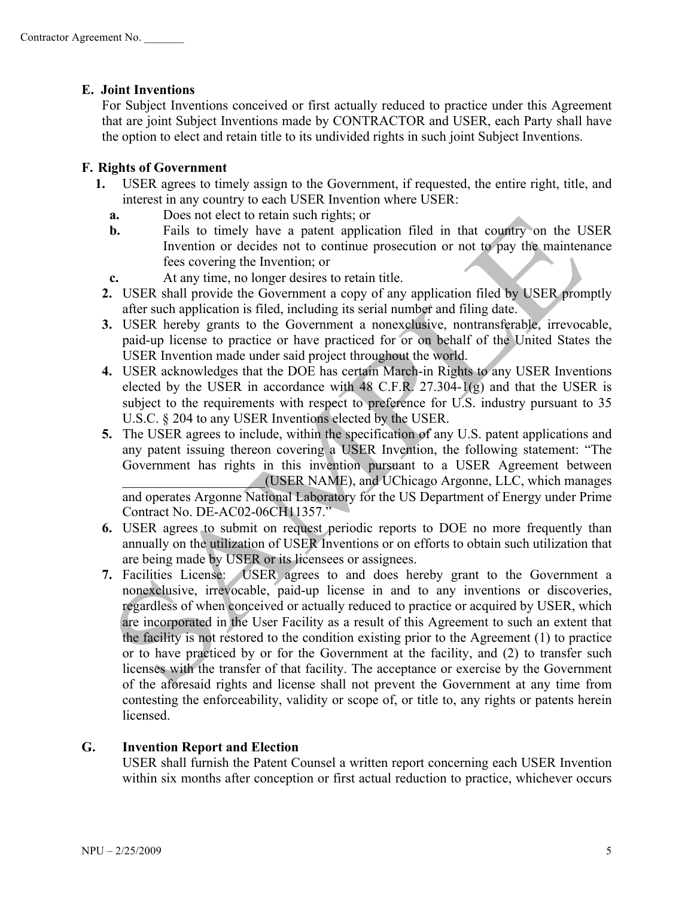# **E. Joint Inventions**

For Subject Inventions conceived or first actually reduced to practice under this Agreement that are joint Subject Inventions made by CONTRACTOR and USER, each Party shall have the option to elect and retain title to its undivided rights in such joint Subject Inventions.

# **F. Rights of Government**

- **1.** USER agrees to timely assign to the Government, if requested, the entire right, title, and interest in any country to each USER Invention where USER:
	- **a.** Does not elect to retain such rights; or
	- **b.** Fails to timely have a patent application filed in that country on the USER Invention or decides not to continue prosecution or not to pay the maintenance fees covering the Invention; or
	- **c.** At any time, no longer desires to retain title.
	- **2.** USER shall provide the Government a copy of any application filed by USER promptly after such application is filed, including its serial number and filing date.
	- **3.** USER hereby grants to the Government a nonexclusive, nontransferable, irrevocable, paid-up license to practice or have practiced for or on behalf of the United States the USER Invention made under said project throughout the world.
	- **4.** USER acknowledges that the DOE has certain March-in Rights to any USER Inventions elected by the USER in accordance with 48 C.F.R. 27.304-1(g) and that the USER is subject to the requirements with respect to preference for U.S. industry pursuant to 35 U.S.C. § 204 to any USER Inventions elected by the USER.
	- **5.** The USER agrees to include, within the specification of any U.S. patent applications and any patent issuing thereon covering a USER Invention, the following statement: "The Government has rights in this invention pursuant to a USER Agreement between \_\_\_\_\_\_\_\_\_\_\_\_\_\_\_\_\_\_\_\_\_(USER NAME), and UChicago Argonne, LLC, which manages and operates Argonne National Laboratory for the US Department of Energy under Prime

Contract No. DE-AC02-06CH11357."

- **6.** USER agrees to submit on request periodic reports to DOE no more frequently than annually on the utilization of USER Inventions or on efforts to obtain such utilization that are being made by USER or its licensees or assignees.
- **7.** Facilities License: USER agrees to and does hereby grant to the Government a nonexclusive, irrevocable, paid-up license in and to any inventions or discoveries, regardless of when conceived or actually reduced to practice or acquired by USER, which are incorporated in the User Facility as a result of this Agreement to such an extent that the facility is not restored to the condition existing prior to the Agreement (1) to practice or to have practiced by or for the Government at the facility, and (2) to transfer such licenses with the transfer of that facility. The acceptance or exercise by the Government of the aforesaid rights and license shall not prevent the Government at any time from contesting the enforceability, validity or scope of, or title to, any rights or patents herein **licensed**

# **G. Invention Report and Election**

USER shall furnish the Patent Counsel a written report concerning each USER Invention within six months after conception or first actual reduction to practice, whichever occurs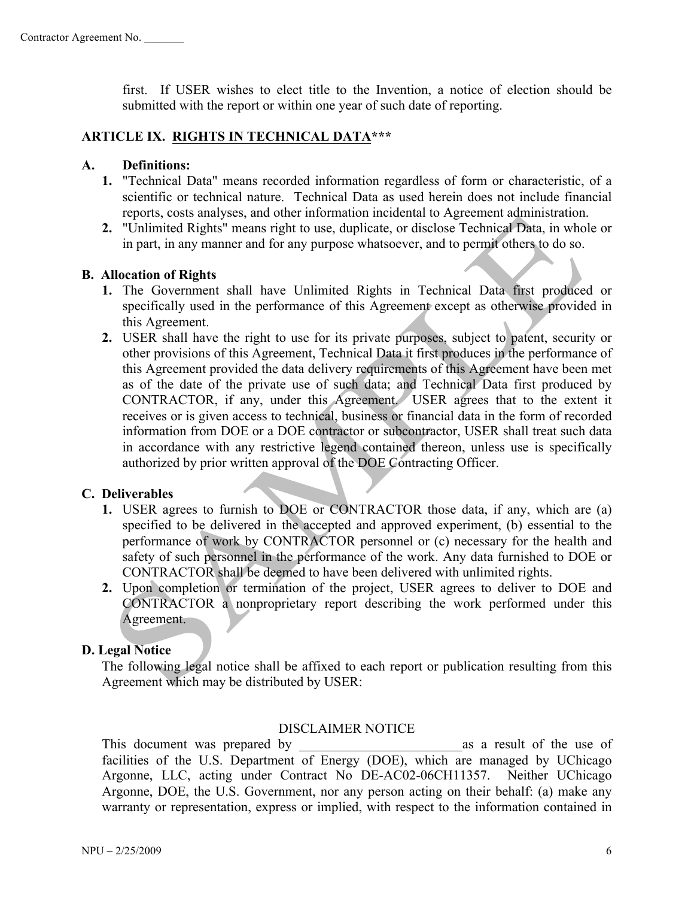first. If USER wishes to elect title to the Invention, a notice of election should be submitted with the report or within one year of such date of reporting.

## **ARTICLE IX. RIGHTS IN TECHNICAL DATA\*\*\***

## **A. Definitions:**

- **1.** "Technical Data" means recorded information regardless of form or characteristic, of a scientific or technical nature. Technical Data as used herein does not include financial reports, costs analyses, and other information incidental to Agreement administration.
- **2.** "Unlimited Rights" means right to use, duplicate, or disclose Technical Data, in whole or in part, in any manner and for any purpose whatsoever, and to permit others to do so.

#### **B. Allocation of Rights**

- **1.** The Government shall have Unlimited Rights in Technical Data first produced or specifically used in the performance of this Agreement except as otherwise provided in this Agreement.
- **2.** USER shall have the right to use for its private purposes, subject to patent, security or other provisions of this Agreement, Technical Data it first produces in the performance of this Agreement provided the data delivery requirements of this Agreement have been met as of the date of the private use of such data; and Technical Data first produced by CONTRACTOR, if any, under this Agreement. USER agrees that to the extent it receives or is given access to technical, business or financial data in the form of recorded information from DOE or a DOE contractor or subcontractor, USER shall treat such data in accordance with any restrictive legend contained thereon, unless use is specifically authorized by prior written approval of the DOE Contracting Officer.

#### **C. Deliverables**

- **1.** USER agrees to furnish to DOE or CONTRACTOR those data, if any, which are (a) specified to be delivered in the accepted and approved experiment, (b) essential to the performance of work by CONTRACTOR personnel or (c) necessary for the health and safety of such personnel in the performance of the work. Any data furnished to DOE or CONTRACTOR shall be deemed to have been delivered with unlimited rights.
- **2.** Upon completion or termination of the project, USER agrees to deliver to DOE and CONTRACTOR a nonproprietary report describing the work performed under this Agreement.

#### **D. Legal Notice**

The following legal notice shall be affixed to each report or publication resulting from this Agreement which may be distributed by USER:

#### DISCLAIMER NOTICE

This document was prepared by as a result of the use of facilities of the U.S. Department of Energy (DOE), which are managed by UChicago Argonne, LLC, acting under Contract No DE-AC02-06CH11357. Neither UChicago Argonne, DOE, the U.S. Government, nor any person acting on their behalf: (a) make any warranty or representation, express or implied, with respect to the information contained in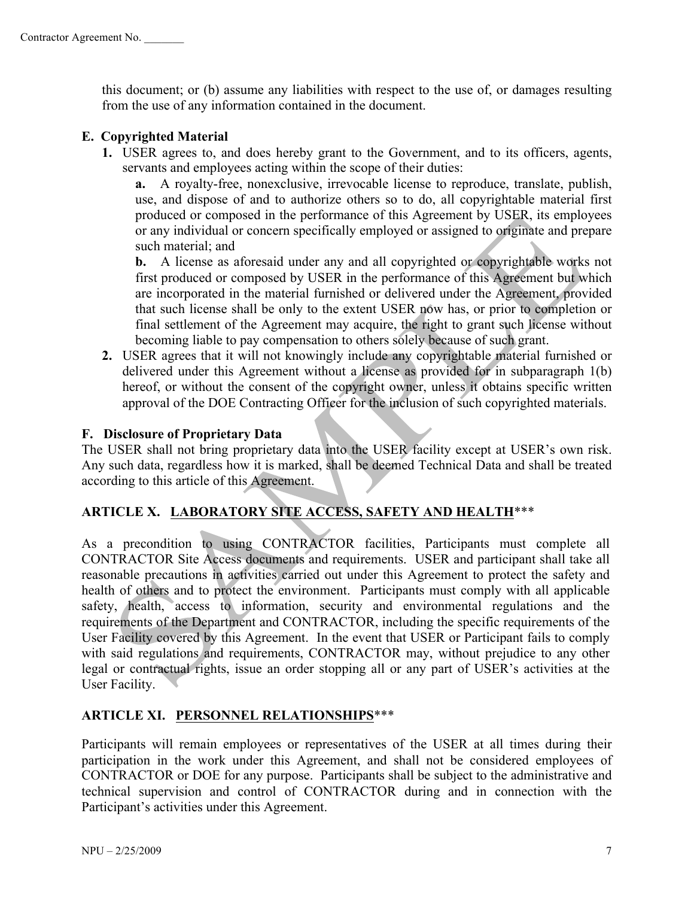this document; or (b) assume any liabilities with respect to the use of, or damages resulting from the use of any information contained in the document.

# **E. Copyrighted Material**

**1.** USER agrees to, and does hereby grant to the Government, and to its officers, agents, servants and employees acting within the scope of their duties:

**a.** A royalty-free, nonexclusive, irrevocable license to reproduce, translate, publish, use, and dispose of and to authorize others so to do, all copyrightable material first produced or composed in the performance of this Agreement by USER, its employees or any individual or concern specifically employed or assigned to originate and prepare such material; and

**b.** A license as aforesaid under any and all copyrighted or copyrightable works not first produced or composed by USER in the performance of this Agreement but which are incorporated in the material furnished or delivered under the Agreement, provided that such license shall be only to the extent USER now has, or prior to completion or final settlement of the Agreement may acquire, the right to grant such license without becoming liable to pay compensation to others solely because of such grant.

**2.** USER agrees that it will not knowingly include any copyrightable material furnished or delivered under this Agreement without a license as provided for in subparagraph 1(b) hereof, or without the consent of the copyright owner, unless it obtains specific written approval of the DOE Contracting Officer for the inclusion of such copyrighted materials.

#### **F. Disclosure of Proprietary Data**

The USER shall not bring proprietary data into the USER facility except at USER's own risk. Any such data, regardless how it is marked, shall be deemed Technical Data and shall be treated according to this article of this Agreement.

# **ARTICLE X. LABORATORY SITE ACCESS, SAFETY AND HEALTH**\*\*\*

As a precondition to using CONTRACTOR facilities, Participants must complete all CONTRACTOR Site Access documents and requirements. USER and participant shall take all reasonable precautions in activities carried out under this Agreement to protect the safety and health of others and to protect the environment. Participants must comply with all applicable safety, health, access to information, security and environmental regulations and the requirements of the Department and CONTRACTOR, including the specific requirements of the User Facility covered by this Agreement. In the event that USER or Participant fails to comply with said regulations and requirements, CONTRACTOR may, without prejudice to any other legal or contractual rights, issue an order stopping all or any part of USER's activities at the User Facility.

#### **ARTICLE XI. PERSONNEL RELATIONSHIPS**\*\*\*

Participants will remain employees or representatives of the USER at all times during their participation in the work under this Agreement, and shall not be considered employees of CONTRACTOR or DOE for any purpose. Participants shall be subject to the administrative and technical supervision and control of CONTRACTOR during and in connection with the Participant's activities under this Agreement.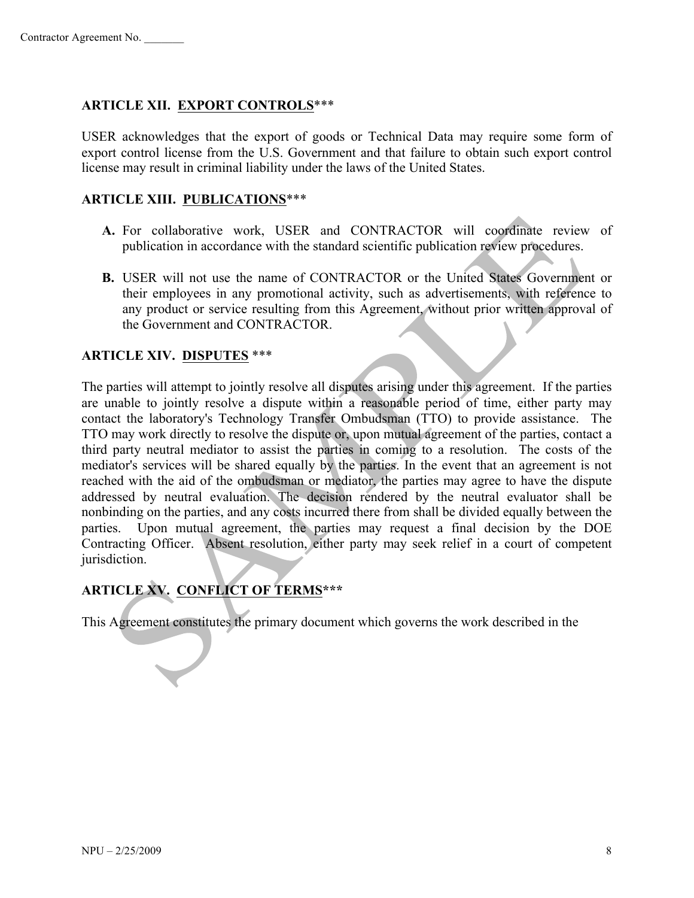## **ARTICLE XII. EXPORT CONTROLS**\*\*\*

USER acknowledges that the export of goods or Technical Data may require some form of export control license from the U.S. Government and that failure to obtain such export control license may result in criminal liability under the laws of the United States.

#### **ARTICLE XIII. PUBLICATIONS**\*\*\*

- **A.** For collaborative work, USER and CONTRACTOR will coordinate review of publication in accordance with the standard scientific publication review procedures.
- **B.** USER will not use the name of CONTRACTOR or the United States Government or their employees in any promotional activity, such as advertisements, with reference to any product or service resulting from this Agreement, without prior written approval of the Government and CONTRACTOR.

#### **ARTICLE XIV. DISPUTES** \*\*\*

The parties will attempt to jointly resolve all disputes arising under this agreement. If the parties are unable to jointly resolve a dispute within a reasonable period of time, either party may contact the laboratory's Technology Transfer Ombudsman (TTO) to provide assistance. The TTO may work directly to resolve the dispute or, upon mutual agreement of the parties, contact a third party neutral mediator to assist the parties in coming to a resolution. The costs of the mediator's services will be shared equally by the parties. In the event that an agreement is not reached with the aid of the ombudsman or mediator, the parties may agree to have the dispute addressed by neutral evaluation. The decision rendered by the neutral evaluator shall be nonbinding on the parties, and any costs incurred there from shall be divided equally between the parties. Upon mutual agreement, the parties may request a final decision by the DOE Contracting Officer. Absent resolution, either party may seek relief in a court of competent jurisdiction.

# **ARTICLE XV. CONFLICT OF TERMS\*\*\***

This Agreement constitutes the primary document which governs the work described in the